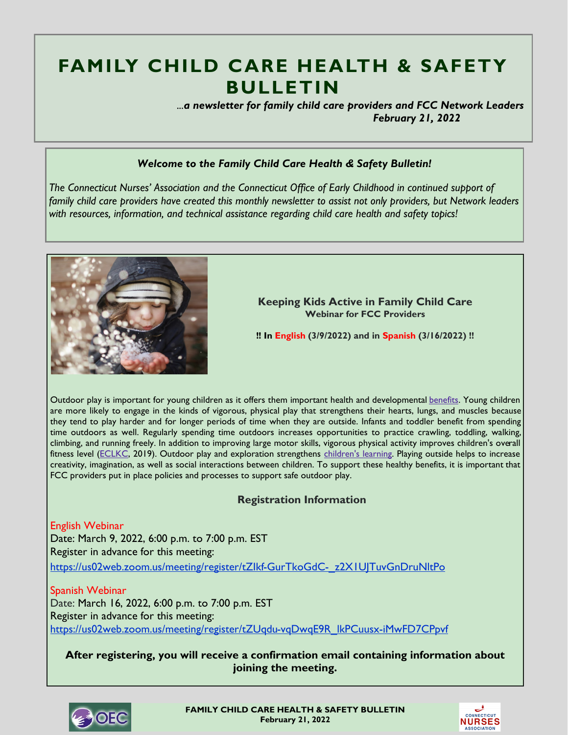# **FAMILY CHILD CARE HEALTH & SAFETY BULLETIN**

 *...a newsletter for family child care providers and FCC Network Leaders February 21, 2022*

# *Welcome to the Family Child Care Health & Safety Bulletin!*

*The Connecticut Nurses' Association and the Connecticut Office of Early Childhood in continued support of family child care providers have created this monthly newsletter to assist not only providers, but Network leaders with resources, information, and technical assistance regarding child care health and safety topics!* 



**Keeping Kids Active in Family Child Care Webinar for FCC Providers**

**!! In English (3/9/2022) and in Spanish (3/16/2022) !!**

Outdoor play is important for young children as it offers them important health and developmental [benefits.](https://eclkc.ohs.acf.hhs.gov/learning-environments/supporting-outdoor-play-exploration-infants-toddlers/benefits-outdoor-play-exploration) Young children are more likely to engage in the kinds of vigorous, physical play that strengthens their hearts, lungs, and muscles because they tend to play harder and for longer periods of time when they are outside. Infants and toddler benefit from spending time outdoors as well. Regularly spending time outdoors increases opportunities to practice crawling, toddling, walking, climbing, and running freely. In addition to improving large motor skills, vigorous physical activity improves children's overall fitness level ([ECLKC,](https://eclkc.ohs.acf.hhs.gov/learning-environments/supporting-outdoor-play-exploration-infants-toddlers/benefits-outdoor-play-exploration) 2019). Outdoor play and exploration strengthens [children's learning.](https://eclkc.ohs.acf.hhs.gov/learning-environments/supporting-outdoor-play-exploration-infants-toddlers/going-outside-strengthens-childrens-development-learning) Playing outside helps to increase creativity, imagination, as well as social interactions between children. To support these healthy benefits, it is important that FCC providers put in place policies and processes to support safe outdoor play.

# **Registration Information**

English Webinar Date: March 9, 2022, 6:00 p.m. to 7:00 p.m. EST Register in advance for this meeting: [https://us02web.zoom.us/meeting/register/tZIkf-GurTkoGdC-\\_z2X1UJTuvGnDruNltPo](https://us02web.zoom.us/meeting/register/tZIkf-GurTkoGdC-_z2X1UJTuvGnDruNltPo)

Spanish Webinar Date: March 16, 2022, 6:00 p.m. to 7:00 p.m. EST Register in advance for this meeting: [https://us02web.zoom.us/meeting/register/tZUqdu-vqDwqE9R\\_lkPCuusx-iMwFD7CPpvf](https://us02web.zoom.us/meeting/register/tZUqdu-vqDwqE9R_lkPCuusx-iMwFD7CPpvf)

**After registering, you will receive a confirmation email containing information about joining the meeting.**



**FAMILY CHILD CARE HEALTH & SAFETY BULLETIN February 21, 2022**

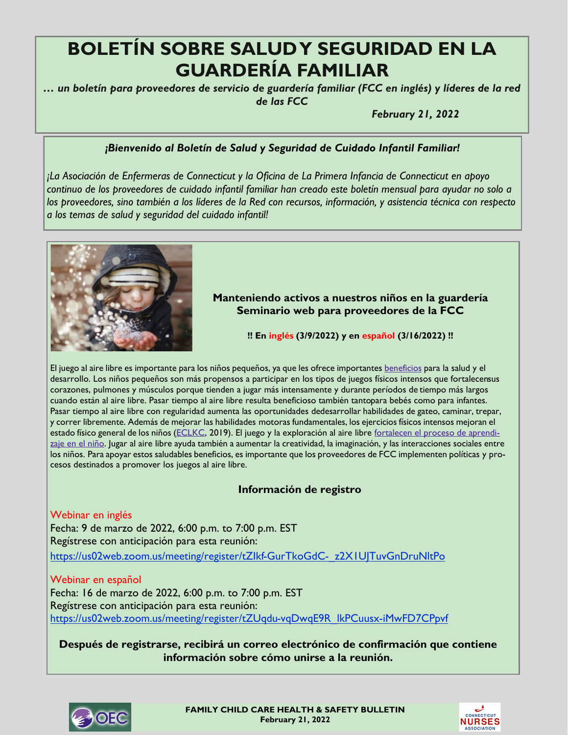# **BOLETÍN SOBRE SALUD Y SEGURIDAD EN LA GUARDERÍA FAMILIAR**

*… un boletín para proveedores de servicio de guardería familiar (FCC en inglés) y líderes de la red de las FCC*

*February 21, 2022*

# *¡Bienvenido al Boletín de Salud y Seguridad de Cuidado Infantil Familiar!*

*¡La Asociación de Enfermeras de Connecticut y la Oficina de La Primera Infancia de Connecticut en apoyo continuo de los proveedores de cuidado infantil familiar han creado este boletín mensual para ayudar no solo a los proveedores, sino también a los líderes de la Red con recursos, información, y asistencia técnica con respecto a los temas de salud y seguridad del cuidado infantil!*



# **Manteniendo activos a nuestros niños en la guardería Seminario web para proveedores de la FCC**

**!! En inglés (3/9/2022) y en español (3/16/2022) !!**

El juego al aire libre es importante para los niños pequeños, ya que les ofrece importantes **[beneficios](https://eclkc.ohs.acf.hhs.gov/learning-environments/supporting-outdoor-play-exploration-infants-toddlers/benefits-outdoor-play-exploration) para la salud y** el desarrollo. Los niños pequeños son más propensos a participar en los tipos de juegos físicos intensos que fortalecensus corazones, pulmones y músculos porque tienden a jugar más intensamente y durante períodos de tiempo más largos cuando están al aire libre. Pasar tiempo al aire libre resulta beneficioso también tantopara bebés como para infantes. Pasar tiempo al aire libre con regularidad aumenta las oportunidades dedesarrollar habilidades de gateo, caminar, trepar, y correr libremente. Además de mejorar las habilidades motoras fundamentales, los ejercicios físicos intensos mejoran el estado físico general de los niños [\(ECLKC,](https://eclkc.ohs.acf.hhs.gov/learning-environments/supporting-outdoor-play-exploration-infants-toddlers/benefits-outdoor-play-exploration) 2019). El juego y la exploración al aire libre [fortalecen el proceso de aprendi](https://eclkc.ohs.acf.hhs.gov/learning-environments/supporting-outdoor-play-exploration-infants-toddlers/going-outside-strengthens-childrens-development-learning)[zaje en el niño.](https://eclkc.ohs.acf.hhs.gov/learning-environments/supporting-outdoor-play-exploration-infants-toddlers/going-outside-strengthens-childrens-development-learning) Jugar al aire libre ayuda también a aumentar la creatividad, la imaginación, y las interacciones sociales entre los niños. Para apoyar estos saludables beneficios, es importante que los proveedores de FCC implementen políticas y procesos destinados a promover los juegos al aire libre.

# **Información de registro**

Webinar en inglés Fecha: 9 de marzo de 2022, 6:00 p.m. to 7:00 p.m. EST Regístrese con anticipación para esta reunión: [https://us02web.zoom.us/meeting/register/tZIkf-GurTkoGdC-\\_z2X1UJTuvGnDruNltPo](https://us02web.zoom.us/meeting/register/tZIkf-GurTkoGdC-_z2X1UJTuvGnDruNltPo)

# Webinar en español

Fecha: 16 de marzo de 2022, 6:00 p.m. to 7:00 p.m. EST Regístrese con anticipación para esta reunión: [https://us02web.zoom.us/meeting/register/tZUqdu-vqDwqE9R\\_lkPCuusx-iMwFD7CPpvf](https://us02web.zoom.us/meeting/register/tZUqdu-vqDwqE9R_lkPCuusx-iMwFD7CPpvf)

**Después de registrarse, recibirá un correo electrónico de confirmación que contiene información sobre cómo unirse a la reunión.**



**FAMILY CHILD CARE HEALTH & SAFETY BULLETIN February 21, 2022**

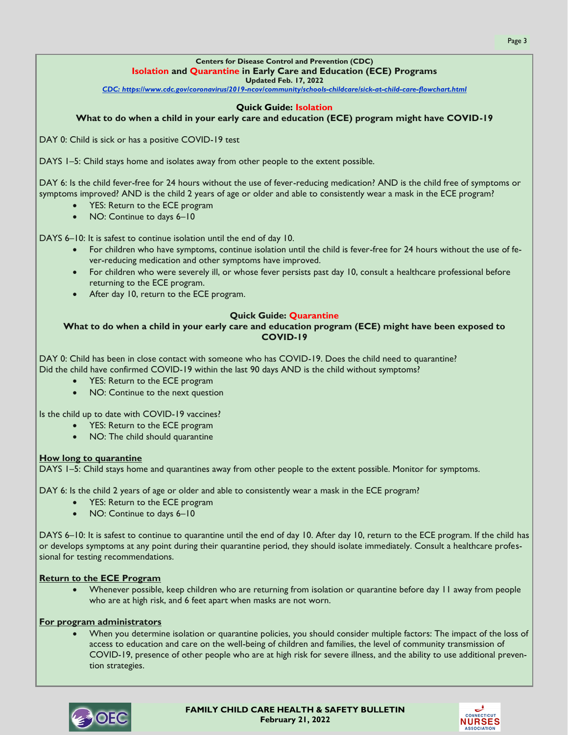## **Centers for Disease Control and Prevention (CDC) Isolation and Quarantine in Early Care and Education (ECE) Programs**

**Updated Feb. 17, 2022**

*[CDC: https://www.cdc.gov/coronavirus/2019-ncov/community/schools-childcare/sick-at-child-care-flowchart.html](https://www.cdc.gov/coronavirus/2019-ncov/community/schools-childcare/sick-at-child-care-flowchart.html)*

#### **Quick Guide: Isolation**

#### **What to do when a child in your early care and education (ECE) program might have COVID-19**

DAY 0: Child is sick or has a positive COVID-19 test

DAYS 1–5: Child stays home and isolates away from other people to the extent possible.

DAY 6: Is the child fever-free for 24 hours without the use of fever-reducing medication? AND is the child free of symptoms or symptoms improved? AND is the child 2 years of age or older and able to consistently wear a mask in the ECE program?

- YES: Return to the ECE program
- NO: Continue to days 6-10

DAYS 6–10: It is safest to continue isolation until the end of day 10.

- For children who have symptoms, continue isolation until the child is fever-free for 24 hours without the use of fever-reducing medication and other symptoms have improved.
- For children who were severely ill, or whose fever persists past day 10, consult a healthcare professional before returning to the ECE program.
- After day 10, return to the ECE program.

#### **Quick Guide: Quarantine**

#### **What to do when a child in your early care and education program (ECE) might have been exposed to COVID-19**

DAY 0: Child has been in close contact with someone who has COVID-19. Does the child need to quarantine? Did the child have confirmed COVID-19 within the last 90 days AND is the child without symptoms?

- YES: Return to the ECE program
- NO: Continue to the next question

Is the child up to date with COVID-19 vaccines?

- YES: Return to the ECE program
	- NO: The child should quarantine

#### **How long to quarantine**

DAYS 1–5: Child stays home and quarantines away from other people to the extent possible. Monitor for symptoms.

DAY 6: Is the child 2 years of age or older and able to consistently wear a mask in the ECE program?

- YES: Return to the ECE program
- NO: Continue to days 6-10

DAYS 6–10: It is safest to continue to quarantine until the end of day 10. After day 10, return to the ECE program. If the child has or develops symptoms at any point during their quarantine period, they should isolate immediately. Consult a healthcare professional for testing recommendations.

#### **Return to the ECE Program**

• Whenever possible, keep children who are returning from isolation or quarantine before day 11 away from people who are at high risk, and 6 feet apart when masks are not worn.

#### **For program administrators**

• When you determine isolation or quarantine policies, you should consider multiple factors: The impact of the loss of access to education and care on the well-being of children and families, the level of community transmission of COVID-19, presence of other people who are at high risk for severe illness, and the ability to use additional prevention strategies.